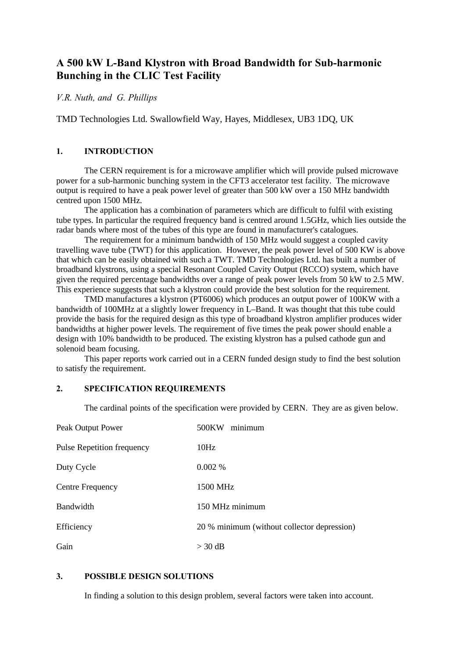# **A 500 kW L-Band Klystron with Broad Bandwidth for Sub-harmonic Bunching in the CLIC Test Facility**

*V.R. Nuth, and G. Phillips*

TMD Technologies Ltd. Swallowfield Way, Hayes, Middlesex, UB3 1DQ, UK

# **1. INTRODUCTION**

The CERN requirement is for a microwave amplifier which will provide pulsed microwave power for a sub-harmonic bunching system in the CFT3 accelerator test facility. The microwave output is required to have a peak power level of greater than 500 kW over a 150 MHz bandwidth centred upon 1500 MHz.

The application has a combination of parameters which are difficult to fulfil with existing tube types. In particular the required frequency band is centred around 1.5GHz, which lies outside the radar bands where most of the tubes of this type are found in manufacturer's catalogues.

The requirement for a minimum bandwidth of 150 MHz would suggest a coupled cavity travelling wave tube (TWT) for this application. However, the peak power level of 500 KW is above that which can be easily obtained with such a TWT. TMD Technologies Ltd. has built a number of broadband klystrons, using a special Resonant Coupled Cavity Output (RCCO) system, which have given the required percentage bandwidths over a range of peak power levels from 50 kW to 2.5 MW. This experience suggests that such a klystron could provide the best solution for the requirement.

TMD manufactures a klystron (PT6006) which produces an output power of 100KW with a bandwidth of 100MHz at a slightly lower frequency in L–Band. It was thought that this tube could provide the basis for the required design as this type of broadband klystron amplifier produces wider bandwidths at higher power levels. The requirement of five times the peak power should enable a design with 10% bandwidth to be produced. The existing klystron has a pulsed cathode gun and solenoid beam focusing.

This paper reports work carried out in a CERN funded design study to find the best solution to satisfy the requirement.

# **2. SPECIFICATION REQUIREMENTS**

The cardinal points of the specification were provided by CERN. They are as given below.

| Peak Output Power                 | 500KW<br>minimum                            |
|-----------------------------------|---------------------------------------------|
| <b>Pulse Repetition frequency</b> | 10Hz                                        |
| Duty Cycle                        | $0.002\%$                                   |
| <b>Centre Frequency</b>           | 1500 MHz                                    |
| <b>Bandwidth</b>                  | 150 MHz minimum                             |
| Efficiency                        | 20 % minimum (without collector depression) |
| Gain                              | $>$ 30 dB                                   |

#### **3. POSSIBLE DESIGN SOLUTIONS**

In finding a solution to this design problem, several factors were taken into account.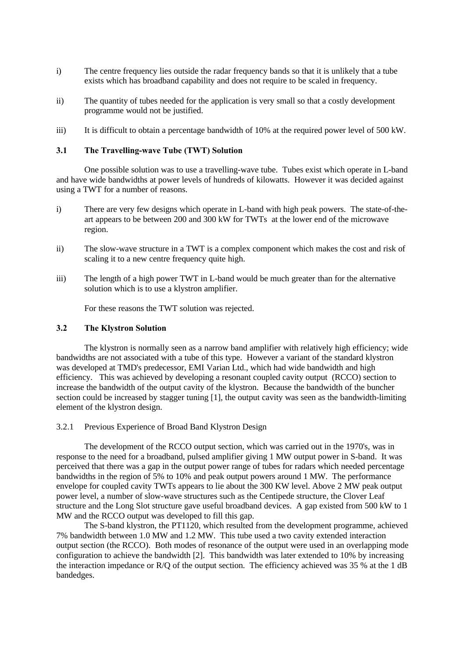- i) The centre frequency lies outside the radar frequency bands so that it is unlikely that a tube exists which has broadband capability and does not require to be scaled in frequency.
- ii) The quantity of tubes needed for the application is very small so that a costly development programme would not be justified.
- iii) It is difficult to obtain a percentage bandwidth of 10% at the required power level of 500 kW.

### **3.1 The Travelling-wave Tube (TWT) Solution**

One possible solution was to use a travelling-wave tube. Tubes exist which operate in L-band and have wide bandwidths at power levels of hundreds of kilowatts. However it was decided against using a TWT for a number of reasons.

- i) There are very few designs which operate in L-band with high peak powers. The state-of-theart appears to be between 200 and 300 kW for TWTs at the lower end of the microwave region.
- ii) The slow-wave structure in a TWT is a complex component which makes the cost and risk of scaling it to a new centre frequency quite high.
- iii) The length of a high power TWT in L-band would be much greater than for the alternative solution which is to use a klystron amplifier.

For these reasons the TWT solution was rejected.

#### **3.2 The Klystron Solution**

The klystron is normally seen as a narrow band amplifier with relatively high efficiency; wide bandwidths are not associated with a tube of this type. However a variant of the standard klystron was developed at TMD's predecessor, EMI Varian Ltd., which had wide bandwidth and high efficiency. This was achieved by developing a resonant coupled cavity output (RCCO) section to increase the bandwidth of the output cavity of the klystron. Because the bandwidth of the buncher section could be increased by stagger tuning [1], the output cavity was seen as the bandwidth-limiting element of the klystron design.

3.2.1 Previous Experience of Broad Band Klystron Design

The development of the RCCO output section, which was carried out in the 1970's, was in response to the need for a broadband, pulsed amplifier giving 1 MW output power in S-band. It was perceived that there was a gap in the output power range of tubes for radars which needed percentage bandwidths in the region of 5% to 10% and peak output powers around 1 MW. The performance envelope for coupled cavity TWTs appears to lie about the 300 KW level. Above 2 MW peak output power level, a number of slow-wave structures such as the Centipede structure, the Clover Leaf structure and the Long Slot structure gave useful broadband devices. A gap existed from 500 kW to 1 MW and the RCCO output was developed to fill this gap.

The S-band klystron, the PT1120, which resulted from the development programme, achieved 7% bandwidth between 1.0 MW and 1.2 MW. This tube used a two cavity extended interaction output section (the RCCO). Both modes of resonance of the output were used in an overlapping mode configuration to achieve the bandwidth [2]. This bandwidth was later extended to 10% by increasing the interaction impedance or R/Q of the output section. The efficiency achieved was 35 % at the 1 dB bandedges.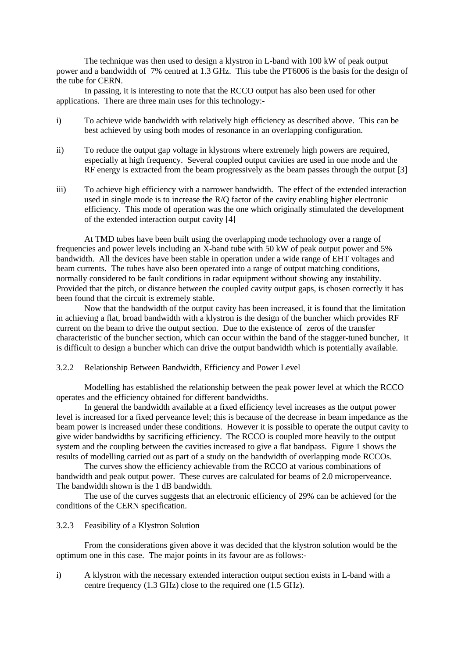The technique was then used to design a klystron in L-band with 100 kW of peak output power and a bandwidth of 7% centred at 1.3 GHz. This tube the PT6006 is the basis for the design of the tube for CERN.

In passing, it is interesting to note that the RCCO output has also been used for other applications. There are three main uses for this technology:-

- i) To achieve wide bandwidth with relatively high efficiency as described above. This can be best achieved by using both modes of resonance in an overlapping configuration.
- ii) To reduce the output gap voltage in klystrons where extremely high powers are required, especially at high frequency. Several coupled output cavities are used in one mode and the RF energy is extracted from the beam progressively as the beam passes through the output [3]
- iii) To achieve high efficiency with a narrower bandwidth. The effect of the extended interaction used in single mode is to increase the R/Q factor of the cavity enabling higher electronic efficiency. This mode of operation was the one which originally stimulated the development of the extended interaction output cavity [4]

At TMD tubes have been built using the overlapping mode technology over a range of frequencies and power levels including an X-band tube with 50 kW of peak output power and 5% bandwidth. All the devices have been stable in operation under a wide range of EHT voltages and beam currents. The tubes have also been operated into a range of output matching conditions, normally considered to be fault conditions in radar equipment without showing any instability. Provided that the pitch, or distance between the coupled cavity output gaps, is chosen correctly it has been found that the circuit is extremely stable.

Now that the bandwidth of the output cavity has been increased, it is found that the limitation in achieving a flat, broad bandwidth with a klystron is the design of the buncher which provides RF current on the beam to drive the output section. Due to the existence of zeros of the transfer characteristic of the buncher section, which can occur within the band of the stagger-tuned buncher, it is difficult to design a buncher which can drive the output bandwidth which is potentially available.

### 3.2.2 Relationship Between Bandwidth, Efficiency and Power Level

Modelling has established the relationship between the peak power level at which the RCCO operates and the efficiency obtained for different bandwidths.

In general the bandwidth available at a fixed efficiency level increases as the output power level is increased for a fixed perveance level; this is because of the decrease in beam impedance as the beam power is increased under these conditions. However it is possible to operate the output cavity to give wider bandwidths by sacrificing efficiency. The RCCO is coupled more heavily to the output system and the coupling between the cavities increased to give a flat bandpass. Figure 1 shows the results of modelling carried out as part of a study on the bandwidth of overlapping mode RCCOs.

The curves show the efficiency achievable from the RCCO at various combinations of bandwidth and peak output power. These curves are calculated for beams of 2.0 microperveance. The bandwidth shown is the 1 dB bandwidth.

The use of the curves suggests that an electronic efficiency of 29% can be achieved for the conditions of the CERN specification.

# 3.2.3 Feasibility of a Klystron Solution

From the considerations given above it was decided that the klystron solution would be the optimum one in this case. The major points in its favour are as follows:-

i) A klystron with the necessary extended interaction output section exists in L-band with a centre frequency (1.3 GHz) close to the required one (1.5 GHz).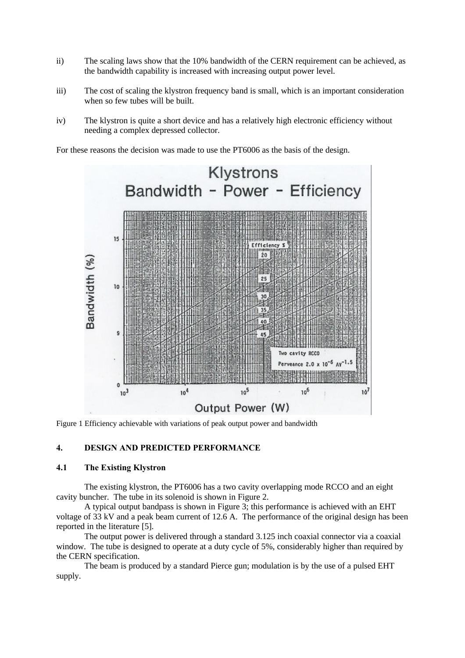- ii) The scaling laws show that the 10% bandwidth of the CERN requirement can be achieved, as the bandwidth capability is increased with increasing output power level.
- iii) The cost of scaling the klystron frequency band is small, which is an important consideration when so few tubes will be built.
- iv) The klystron is quite a short device and has a relatively high electronic efficiency without needing a complex depressed collector.

For these reasons the decision was made to use the PT6006 as the basis of the design.



Figure 1 Efficiency achievable with variations of peak output power and bandwidth

### **4. DESIGN AND PREDICTED PERFORMANCE**

### **4.1 The Existing Klystron**

The existing klystron, the PT6006 has a two cavity overlapping mode RCCO and an eight cavity buncher. The tube in its solenoid is shown in Figure 2.

A typical output bandpass is shown in Figure 3; this performance is achieved with an EHT voltage of 33 kV and a peak beam current of 12.6 A. The performance of the original design has been reported in the literature [5].

The output power is delivered through a standard 3.125 inch coaxial connector via a coaxial window. The tube is designed to operate at a duty cycle of 5%, considerably higher than required by the CERN specification.

The beam is produced by a standard Pierce gun; modulation is by the use of a pulsed EHT supply.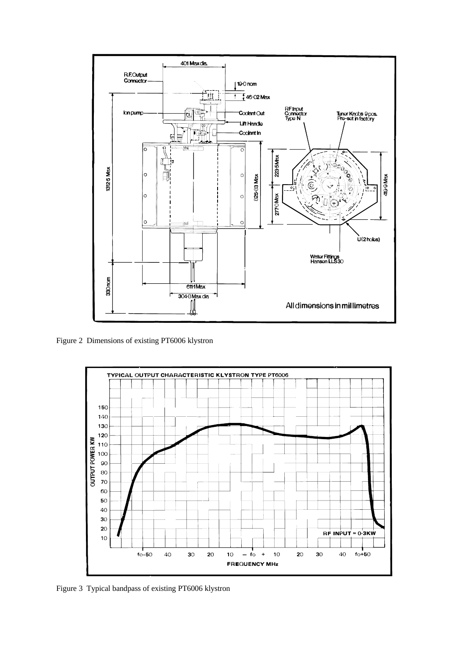

Figure 2 Dimensions of existing PT6006 klystron



Figure 3 Typical bandpass of existing PT6006 klystron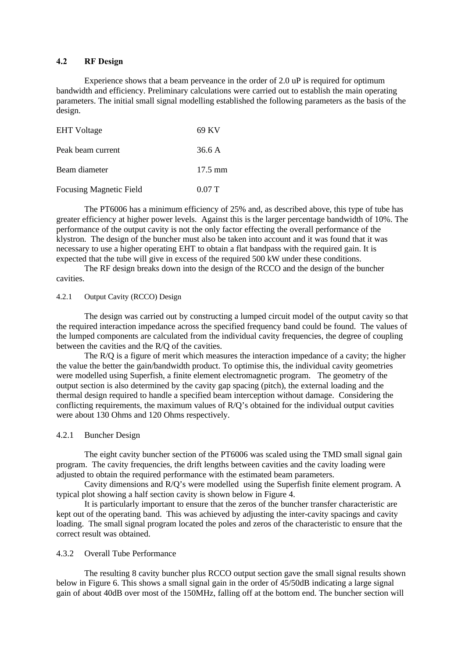#### **4.2 RF Design**

Experience shows that a beam perveance in the order of 2.0 uP is required for optimum bandwidth and efficiency. Preliminary calculations were carried out to establish the main operating parameters. The initial small signal modelling established the following parameters as the basis of the design.

| <b>EHT</b> Voltage             | 69 KV             |
|--------------------------------|-------------------|
| Peak beam current              | 36.6 A            |
| Beam diameter                  | $17.5 \text{ mm}$ |
| <b>Focusing Magnetic Field</b> | 0.07T             |

The PT6006 has a minimum efficiency of 25% and, as described above, this type of tube has greater efficiency at higher power levels. Against this is the larger percentage bandwidth of 10%. The performance of the output cavity is not the only factor effecting the overall performance of the klystron. The design of the buncher must also be taken into account and it was found that it was necessary to use a higher operating EHT to obtain a flat bandpass with the required gain. It is expected that the tube will give in excess of the required 500 kW under these conditions.

The RF design breaks down into the design of the RCCO and the design of the buncher cavities.

# 4.2.1 Output Cavity (RCCO) Design

The design was carried out by constructing a lumped circuit model of the output cavity so that the required interaction impedance across the specified frequency band could be found. The values of the lumped components are calculated from the individual cavity frequencies, the degree of coupling between the cavities and the R/Q of the cavities.

The R/Q is a figure of merit which measures the interaction impedance of a cavity; the higher the value the better the gain/bandwidth product. To optimise this, the individual cavity geometries were modelled using Superfish, a finite element electromagnetic program. The geometry of the output section is also determined by the cavity gap spacing (pitch), the external loading and the thermal design required to handle a specified beam interception without damage. Considering the conflicting requirements, the maximum values of R/Q's obtained for the individual output cavities were about 130 Ohms and 120 Ohms respectively.

### 4.2.1 Buncher Design

The eight cavity buncher section of the PT6006 was scaled using the TMD small signal gain program. The cavity frequencies, the drift lengths between cavities and the cavity loading were adjusted to obtain the required performance with the estimated beam parameters.

Cavity dimensions and R/Q's were modelled using the Superfish finite element program. A typical plot showing a half section cavity is shown below in Figure 4.

It is particularly important to ensure that the zeros of the buncher transfer characteristic are kept out of the operating band. This was achieved by adjusting the inter-cavity spacings and cavity loading. The small signal program located the poles and zeros of the characteristic to ensure that the correct result was obtained.

## 4.3.2 Overall Tube Performance

The resulting 8 cavity buncher plus RCCO output section gave the small signal results shown below in Figure 6. This shows a small signal gain in the order of 45/50dB indicating a large signal gain of about 40dB over most of the 150MHz, falling off at the bottom end. The buncher section will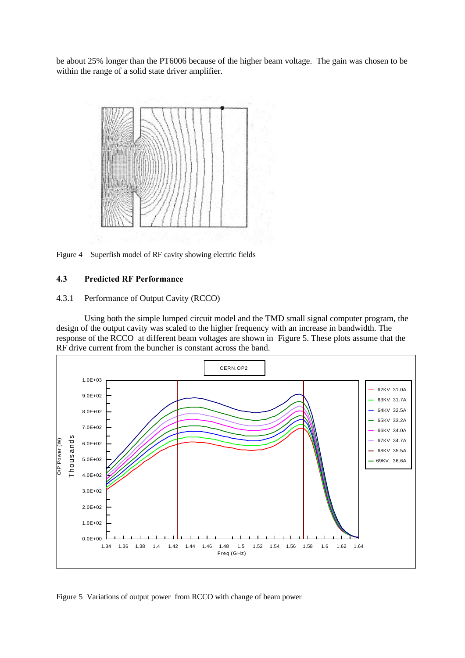be about 25% longer than the PT6006 because of the higher beam voltage. The gain was chosen to be within the range of a solid state driver amplifier.



Figure 4 Superfish model of RF cavity showing electric fields

#### **4.3 Predicted RF Performance**

### 4.3.1 Performance of Output Cavity (RCCO)

Using both the simple lumped circuit model and the TMD small signal computer program, the design of the output cavity was scaled to the higher frequency with an increase in bandwidth. The response of the RCCO at different beam voltages are shown in Figure 5. These plots assume that the RF drive current from the buncher is constant across the band.



Figure 5 Variations of output power from RCCO with change of beam power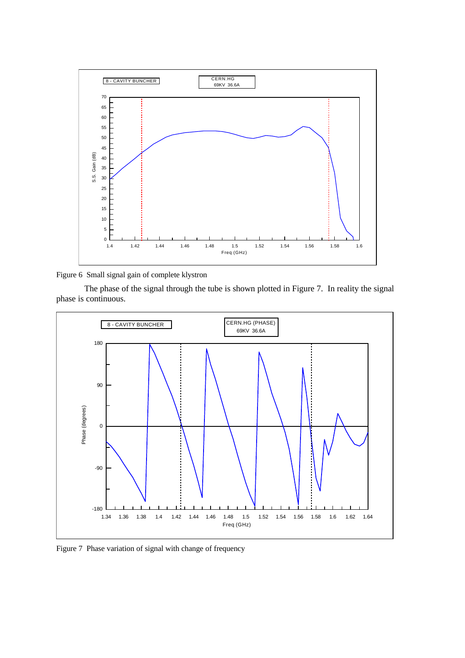

Figure 6 Small signal gain of complete klystron

The phase of the signal through the tube is shown plotted in Figure 7. In reality the signal phase is continuous.



Figure 7 Phase variation of signal with change of frequency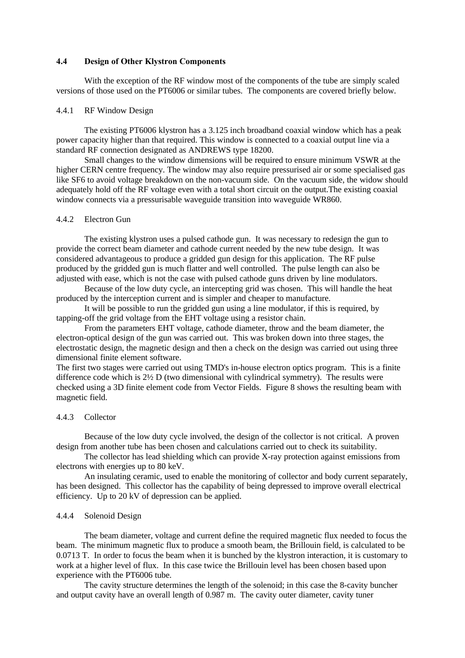#### **4.4 Design of Other Klystron Components**

With the exception of the RF window most of the components of the tube are simply scaled versions of those used on the PT6006 or similar tubes. The components are covered briefly below.

#### 4.4.1 RF Window Design

The existing PT6006 klystron has a 3.125 inch broadband coaxial window which has a peak power capacity higher than that required. This window is connected to a coaxial output line via a standard RF connection designated as ANDREWS type 18200.

Small changes to the window dimensions will be required to ensure minimum VSWR at the higher CERN centre frequency. The window may also require pressurised air or some specialised gas like SF6 to avoid voltage breakdown on the non-vacuum side. On the vacuum side, the widow should adequately hold off the RF voltage even with a total short circuit on the output.The existing coaxial window connects via a pressurisable waveguide transition into waveguide WR860.

#### 4.4.2 Electron Gun

The existing klystron uses a pulsed cathode gun. It was necessary to redesign the gun to provide the correct beam diameter and cathode current needed by the new tube design. It was considered advantageous to produce a gridded gun design for this application. The RF pulse produced by the gridded gun is much flatter and well controlled. The pulse length can also be adjusted with ease, which is not the case with pulsed cathode guns driven by line modulators.

Because of the low duty cycle, an intercepting grid was chosen. This will handle the heat produced by the interception current and is simpler and cheaper to manufacture.

It will be possible to run the gridded gun using a line modulator, if this is required, by tapping-off the grid voltage from the EHT voltage using a resistor chain.

From the parameters EHT voltage, cathode diameter, throw and the beam diameter, the electron-optical design of the gun was carried out. This was broken down into three stages, the electrostatic design, the magnetic design and then a check on the design was carried out using three dimensional finite element software.

The first two stages were carried out using TMD's in-house electron optics program. This is a finite difference code which is  $2\frac{1}{2}$  D (two dimensional with cylindrical symmetry). The results were checked using a 3D finite element code from Vector Fields. Figure 8 shows the resulting beam with magnetic field.

### 4.4.3 Collector

Because of the low duty cycle involved, the design of the collector is not critical. A proven design from another tube has been chosen and calculations carried out to check its suitability.

The collector has lead shielding which can provide X-ray protection against emissions from electrons with energies up to 80 keV.

An insulating ceramic, used to enable the monitoring of collector and body current separately, has been designed. This collector has the capability of being depressed to improve overall electrical efficiency. Up to 20 kV of depression can be applied.

#### 4.4.4 Solenoid Design

The beam diameter, voltage and current define the required magnetic flux needed to focus the beam. The minimum magnetic flux to produce a smooth beam, the Brillouin field, is calculated to be 0.0713 T. In order to focus the beam when it is bunched by the klystron interaction, it is customary to work at a higher level of flux. In this case twice the Brillouin level has been chosen based upon experience with the PT6006 tube.

The cavity structure determines the length of the solenoid; in this case the 8-cavity buncher and output cavity have an overall length of 0.987 m. The cavity outer diameter, cavity tuner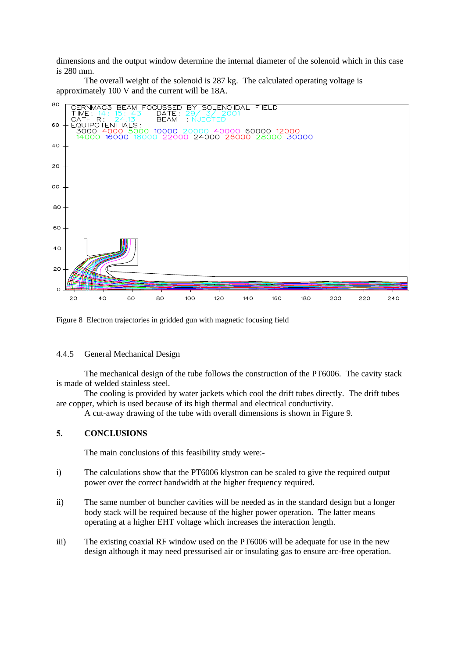dimensions and the output window determine the internal diameter of the solenoid which in this case is 280 mm.

The overall weight of the solenoid is 287 kg. The calculated operating voltage is approximately 100 V and the current will be 18A.



Figure 8 Electron trajectories in gridded gun with magnetic focusing field

### 4.4.5 General Mechanical Design

The mechanical design of the tube follows the construction of the PT6006. The cavity stack is made of welded stainless steel.

The cooling is provided by water jackets which cool the drift tubes directly. The drift tubes are copper, which is used because of its high thermal and electrical conductivity.

A cut-away drawing of the tube with overall dimensions is shown in Figure 9.

# **5. CONCLUSIONS**

The main conclusions of this feasibility study were:-

- i) The calculations show that the PT6006 klystron can be scaled to give the required output power over the correct bandwidth at the higher frequency required.
- ii) The same number of buncher cavities will be needed as in the standard design but a longer body stack will be required because of the higher power operation. The latter means operating at a higher EHT voltage which increases the interaction length.
- iii) The existing coaxial RF window used on the PT6006 will be adequate for use in the new design although it may need pressurised air or insulating gas to ensure arc-free operation.